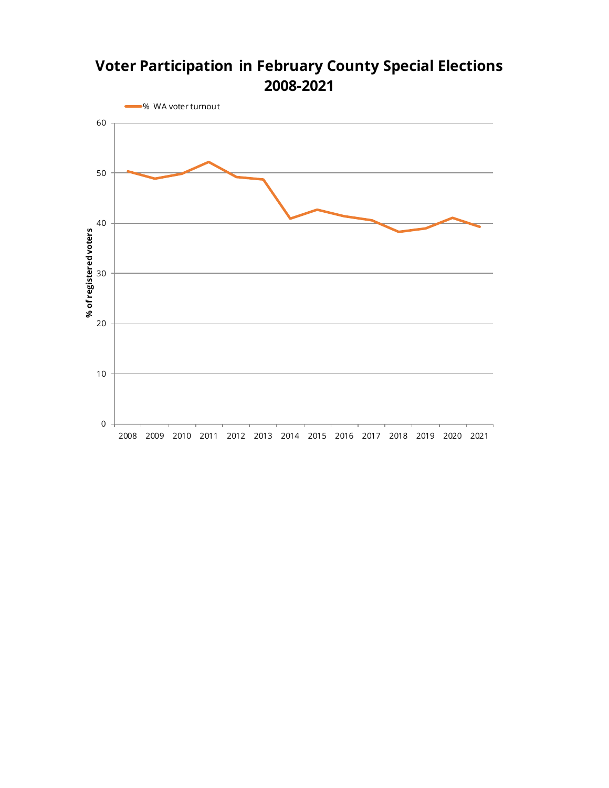## **Voter Participation in February County Special Elections 2008-2021**